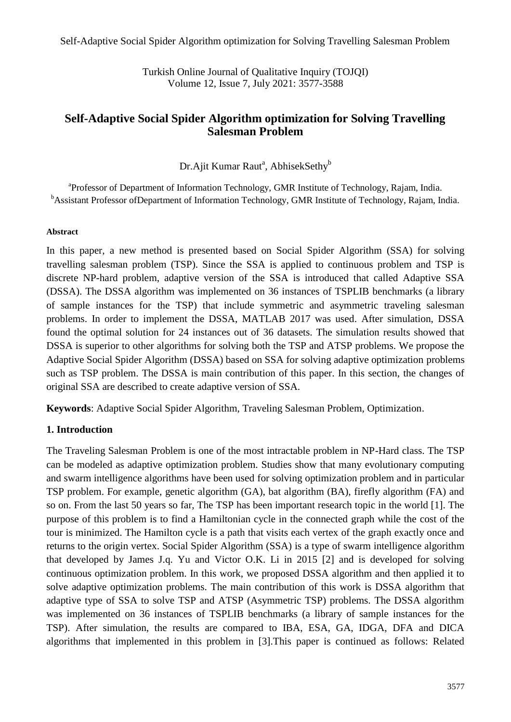Self-Adaptive Social Spider Algorithm optimization for Solving Travelling Salesman Problem

Turkish Online Journal of Qualitative Inquiry (TOJQI) Volume 12, Issue 7, July 2021: 3577-3588

# **Self-Adaptive Social Spider Algorithm optimization for Solving Travelling Salesman Problem**

Dr.Ajit Kumar Raut<sup>a</sup>, AbhisekSethy<sup>b</sup>

<sup>a</sup> Professor of Department of Information Technology, GMR Institute of Technology, Rajam, India. <sup>b</sup>Assistant Professor ofDepartment of Information Technology, GMR Institute of Technology, Rajam, India.

### **Abstract**

In this paper, a new method is presented based on Social Spider Algorithm (SSA) for solving travelling salesman problem (TSP). Since the SSA is applied to continuous problem and TSP is discrete NP-hard problem, adaptive version of the SSA is introduced that called Adaptive SSA (DSSA). The DSSA algorithm was implemented on 36 instances of TSPLIB benchmarks (a library of sample instances for the TSP) that include symmetric and asymmetric traveling salesman problems. In order to implement the DSSA, MATLAB 2017 was used. After simulation, DSSA found the optimal solution for 24 instances out of 36 datasets. The simulation results showed that DSSA is superior to other algorithms for solving both the TSP and ATSP problems. We propose the Adaptive Social Spider Algorithm (DSSA) based on SSA for solving adaptive optimization problems such as TSP problem. The DSSA is main contribution of this paper. In this section, the changes of original SSA are described to create adaptive version of SSA.

**Keywords**: Adaptive Social Spider Algorithm, Traveling Salesman Problem, Optimization.

# **1. Introduction**

The Traveling Salesman Problem is one of the most intractable problem in NP-Hard class. The TSP can be modeled as adaptive optimization problem. Studies show that many evolutionary computing and swarm intelligence algorithms have been used for solving optimization problem and in particular TSP problem. For example, genetic algorithm (GA), bat algorithm (BA), firefly algorithm (FA) and so on. From the last 50 years so far, The TSP has been important research topic in the world [1]. The purpose of this problem is to find a Hamiltonian cycle in the connected graph while the cost of the tour is minimized. The Hamilton cycle is a path that visits each vertex of the graph exactly once and returns to the origin vertex. Social Spider Algorithm (SSA) is a type of swarm intelligence algorithm that developed by James J.q. Yu and Victor O.K. Li in 2015 [2] and is developed for solving continuous optimization problem. In this work, we proposed DSSA algorithm and then applied it to solve adaptive optimization problems. The main contribution of this work is DSSA algorithm that adaptive type of SSA to solve TSP and ATSP (Asymmetric TSP) problems. The DSSA algorithm was implemented on 36 instances of TSPLIB benchmarks (a library of sample instances for the TSP). After simulation, the results are compared to IBA, ESA, GA, IDGA, DFA and DICA algorithms that implemented in this problem in [3].This paper is continued as follows: Related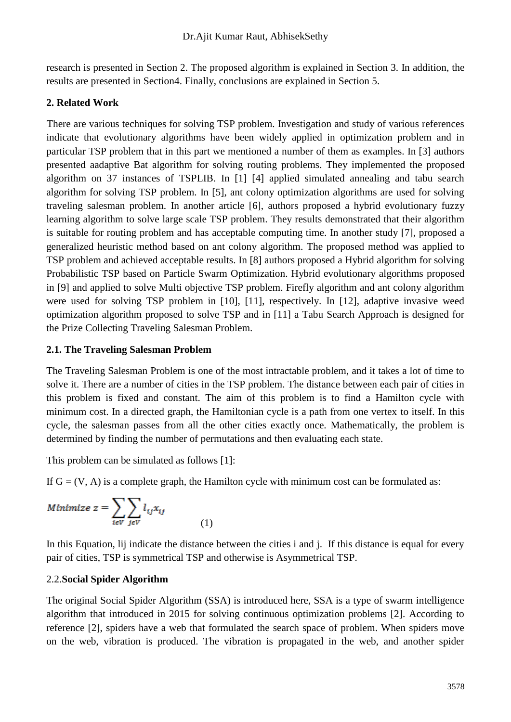research is presented in Section 2. The proposed algorithm is explained in Section 3. In addition, the results are presented in Section4. Finally, conclusions are explained in Section 5.

# **2. Related Work**

There are various techniques for solving TSP problem. Investigation and study of various references indicate that evolutionary algorithms have been widely applied in optimization problem and in particular TSP problem that in this part we mentioned a number of them as examples. In [3] authors presented aadaptive Bat algorithm for solving routing problems. They implemented the proposed algorithm on 37 instances of TSPLIB. In [1] [4] applied simulated annealing and tabu search algorithm for solving TSP problem. In [5], ant colony optimization algorithms are used for solving traveling salesman problem. In another article [6], authors proposed a hybrid evolutionary fuzzy learning algorithm to solve large scale TSP problem. They results demonstrated that their algorithm is suitable for routing problem and has acceptable computing time. In another study [7], proposed a generalized heuristic method based on ant colony algorithm. The proposed method was applied to TSP problem and achieved acceptable results. In [8] authors proposed a Hybrid algorithm for solving Probabilistic TSP based on Particle Swarm Optimization. Hybrid evolutionary algorithms proposed in [9] and applied to solve Multi objective TSP problem. Firefly algorithm and ant colony algorithm were used for solving TSP problem in [10], [11], respectively. In [12], adaptive invasive weed optimization algorithm proposed to solve TSP and in [11] a Tabu Search Approach is designed for the Prize Collecting Traveling Salesman Problem.

## **2.1. The Traveling Salesman Problem**

The Traveling Salesman Problem is one of the most intractable problem, and it takes a lot of time to solve it. There are a number of cities in the TSP problem. The distance between each pair of cities in this problem is fixed and constant. The aim of this problem is to find a Hamilton cycle with minimum cost. In a directed graph, the Hamiltonian cycle is a path from one vertex to itself. In this cycle, the salesman passes from all the other cities exactly once. Mathematically, the problem is determined by finding the number of permutations and then evaluating each state.

This problem can be simulated as follows [1]:

If  $G = (V, A)$  is a complete graph, the Hamilton cycle with minimum cost can be formulated as:

(1)

Minimize 
$$
z = \sum_{i \in V} \sum_{j \in V} l_{ij} x_{ij}
$$
 (1)

In this Equation, lij indicate the distance between the cities i and j. If this distance is equal for every pair of cities, TSP is symmetrical TSP and otherwise is Asymmetrical TSP.

# 2.2.**Social Spider Algorithm**

The original Social Spider Algorithm (SSA) is introduced here, SSA is a type of swarm intelligence algorithm that introduced in 2015 for solving continuous optimization problems [2]. According to reference [2], spiders have a web that formulated the search space of problem. When spiders move on the web, vibration is produced. The vibration is propagated in the web, and another spider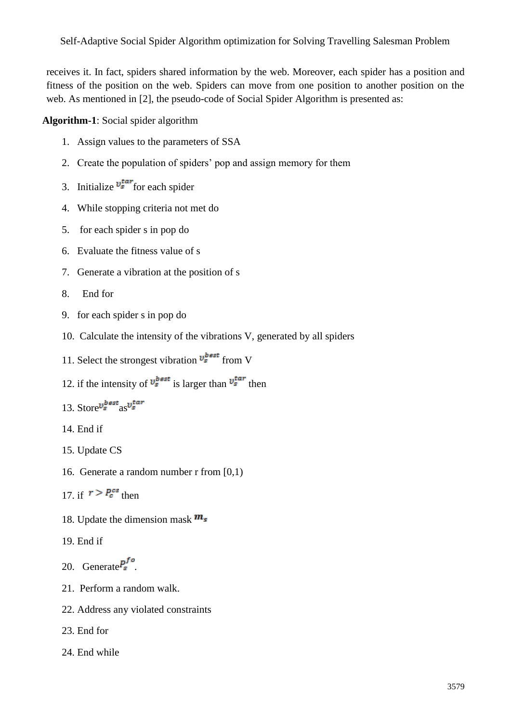Self-Adaptive Social Spider Algorithm optimization for Solving Travelling Salesman Problem

receives it. In fact, spiders shared information by the web. Moreover, each spider has a position and fitness of the position on the web. Spiders can move from one position to another position on the web. As mentioned in [2], the pseudo-code of Social Spider Algorithm is presented as:

**Algorithm-1**: Social spider algorithm

- 1. Assign values to the parameters of SSA
- 2. Create the population of spiders' pop and assign memory for them
- 3. Initialize  $v_s^{tar}$  for each spider
- 4. While stopping criteria not met do
- 5. for each spider s in pop do
- 6. Evaluate the fitness value of s
- 7. Generate a vibration at the position of s
- 8. End for
- 9. for each spider s in pop do
- 10. Calculate the intensity of the vibrations V, generated by all spiders
- 11. Select the strongest vibration  $v_s^{best}$  from V
- 12. if the intensity of  $v_s^{best}$  is larger than  $v_s^{tar}$  then
- 13. Store $v_s^{best}$ as $v_s^{tar}$
- 14. End if
- 15. Update CS
- 16. Generate a random number r from [0,1)
- 17 if  $r > P_c^{cs}$  then
- 18. Update the dimension mask  $m_s$
- 19. End if
- 20. Generate $P_s^{f \circ}$
- 21. Perform a random walk.
- 22. Address any violated constraints
- 23. End for
- 24. End while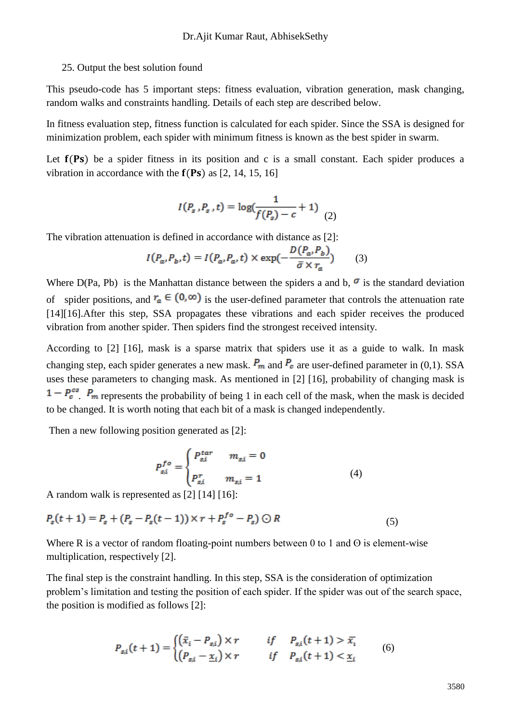#### 25. Output the best solution found

This pseudo-code has 5 important steps: fitness evaluation, vibration generation, mask changing, random walks and constraints handling. Details of each step are described below.

In fitness evaluation step, fitness function is calculated for each spider. Since the SSA is designed for minimization problem, each spider with minimum fitness is known as the best spider in swarm.

Let  $f(Ps)$  be a spider fitness in its position and c is a small constant. Each spider produces a vibration in accordance with the  $f(Ps)$  as [2, 14, 15, 16]

$$
I(P_s, P_s, t) = \log(\frac{1}{f(P_s) - c} + 1)
$$
 (2)

The vibration attenuation is defined in accordance with distance as [2]:

$$
I(P_a, P_b, t) = I(P_a, P_a, t) \times \exp(-\frac{D(P_a, P_b)}{\bar{\sigma} \times r_a})
$$
 (3)

Where D(Pa, Pb) is the Manhattan distance between the spiders a and b,  $\sigma$  is the standard deviation of spider positions, and  $r_a \in (0, \infty)$  is the user-defined parameter that controls the attenuation rate [14][16].After this step, SSA propagates these vibrations and each spider receives the produced vibration from another spider. Then spiders find the strongest received intensity.

According to [2] [16], mask is a sparse matrix that spiders use it as a guide to walk. In mask changing step, each spider generates a new mask.  $P_m$  and  $P_c$  are user-defined parameter in (0,1). SSA uses these parameters to changing mask. As mentioned in [2] [16], probability of changing mask is  $1 - P_c^{cs}$ .  $P_m$  represents the probability of being 1 in each cell of the mask, when the mask is decided to be changed. It is worth noting that each bit of a mask is changed independently.

Then a new following position generated as [2]:

$$
P_{s,i}^{fo} = \begin{cases} P_{s,i}^{tar} & m_{s,i} = 0\\ P_{s,i}^{r} & m_{s,i} = 1 \end{cases}
$$
 (4)

A random walk is represented as [2] [14] [16]:

(5)

Where R is a vector of random floating-point numbers between 0 to 1 and  $\Theta$  is element-wise multiplication, respectively [2].

The final step is the constraint handling. In this step, SSA is the consideration of optimization problem's limitation and testing the position of each spider. If the spider was out of the search space, the position is modified as follows [2]:

$$
P_{s,i}(t+1) = \begin{cases} \left(\bar{x}_i - P_{s,i}\right) \times r & \text{if} \quad P_{s,i}(t+1) > \bar{x}_i\\ \left(P_{s,i} - \underline{x}_i\right) \times r & \text{if} \quad P_{s,i}(t+1) < \underline{x}_i \end{cases} \tag{6}
$$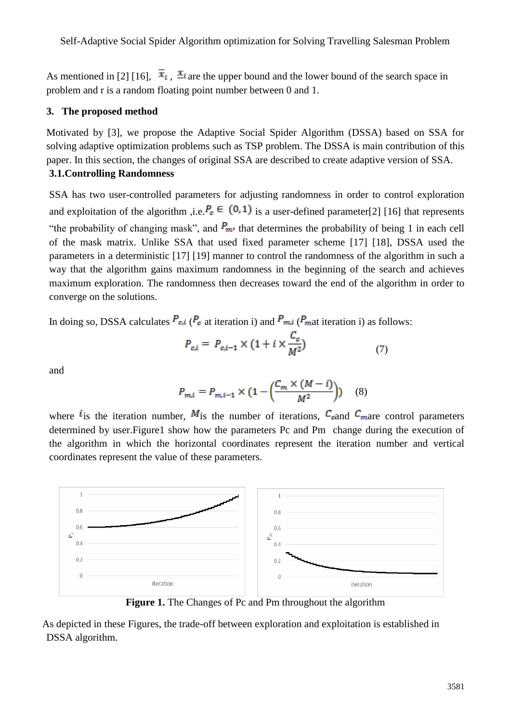As mentioned in [2] [16],  $\bar{x}_i$ ,  $\bar{x}_i$  are the upper bound and the lower bound of the search space in problem and r is a random floating point number between 0 and 1.

### **3. The proposed method**

Motivated by [3], we propose the Adaptive Social Spider Algorithm (DSSA) based on SSA for solving adaptive optimization problems such as TSP problem. The DSSA is main contribution of this paper. In this section, the changes of original SSA are described to create adaptive version of SSA. **3.1.Controlling Randomness**

SSA has two user-controlled parameters for adjusting randomness in order to control exploration and exploitation of the algorithm ,i.e.  $P_c \in (0,1)$  is a user-defined parameter[2] [16] that represents "the probability of changing mask", and  $P_{m}$  that determines the probability of being 1 in each cell of the mask matrix. Unlike SSA that used fixed parameter scheme [17] [18], DSSA used the parameters in a deterministic [17] [19] manner to control the randomness of the algorithm in such a way that the algorithm gains maximum randomness in the beginning of the search and achieves maximum exploration. The randomness then decreases toward the end of the algorithm in order to converge on the solutions.

In doing so, DSSA calculates  $P_{c,i}$  ( $P_c$  at iteration i) and  $P_{m,i}$  ( $P_{m,i}$  iteration i) as follows:

$$
P_{c,i} = P_{c,i-1} \times (1 + i \times \frac{C_c}{M^2})
$$
 (7)

and

$$
P_{m,i} = P_{m,i-1} \times \left(1 - \left(\frac{C_m \times (M - i)}{M^2}\right)\right) \quad (8)
$$

where  $i_{\text{is}}$  the iteration number,  $M_{\text{is}}$  the number of iterations,  $C_{\text{cand}} C_{\text{max}}$  control parameters determined by user.Figure1 show how the parameters Pc and Pm change during the execution of the algorithm in which the horizontal coordinates represent the iteration number and vertical coordinates represent the value of these parameters.



**Figure 1.** The Changes of Pc and Pm throughout the algorithm

As depicted in these Figures, the trade-off between exploration and exploitation is established in DSSA algorithm.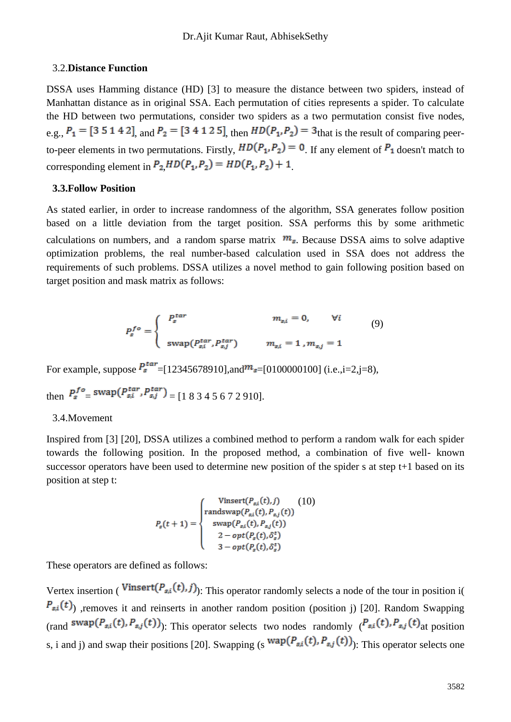#### 3.2.**Distance Function**

DSSA uses Hamming distance (HD) [3] to measure the distance between two spiders, instead of Manhattan distance as in original SSA. Each permutation of cities represents a spider. To calculate the HD between two permutations, consider two spiders as a two permutation consist five nodes, e.g.,  $P_1 = [3 \ 5 \ 1 \ 4 \ 2]$ , and  $P_2 = [3 \ 4 \ 1 \ 2 \ 5]$ , then  $HD(P_1, P_2) = 3$  that is the result of comparing peerto-peer elements in two permutations. Firstly,  $HD(P_1, P_2) = 0$ . If any element of  $P_1$  doesn't match to corresponding element in  $P_2 H D(P_1, P_2) = H D(P_1, P_2) + 1$ 

### **3.3.Follow Position**

As stated earlier, in order to increase randomness of the algorithm, SSA generates follow position based on a little deviation from the target position. SSA performs this by some arithmetic calculations on numbers, and a random sparse matrix  $m_s$ . Because DSSA aims to solve adaptive optimization problems, the real number-based calculation used in SSA does not address the requirements of such problems. DSSA utilizes a novel method to gain following position based on target position and mask matrix as follows:

$$
P_s^{fo} = \begin{cases} P_s^{tar} & m_{s,i} = 0, \qquad \forall i \\ \text{swap}(P_{s,i}^{tar}, P_{s,j}^{tar}) & m_{s,i} = 1, m_{s,j} = 1 \end{cases}
$$
 (9)

For example, suppose  $P_s^{tar}$  = [12345678910], and  $m_s$  = [0100000100] (i.e., i=2, j=8),

then  $P_s^{fo}$  = swap $(P_{s,i}^{tar}, P_{s,j}^{tar})$  = [1 8 3 4 5 6 7 2 910].

#### 3.4.Movement

Inspired from [3] [20], DSSA utilizes a combined method to perform a random walk for each spider towards the following position. In the proposed method, a combination of five well- known successor operators have been used to determine new position of the spider s at step t+1 based on its position at step t:

$$
P_s(t+1) = \begin{cases} \text{Vinsert}(P_{s,i}(t),j) & (10) \\ \text{random}(P_{s,i}(t), P_{s,j}(t)) \\ \text{swap}(P_{s,i}(t), P_{s,j}(t)) \\ 2 - opt(P_s(t), \delta_s^t) \\ 3 - opt(P_s(t), \delta_s^t) \end{cases}
$$

These operators are defined as follows:

Vertex insertion (Vinsert $(P_{s,i}(t), j)$ ): This operator randomly selects a node of the tour in position i(  $P_{s,i}(t)$ , removes it and reinserts in another random position (position j) [20]. Random Swapping (rand  $\langle \text{swap}(P_{s,i}(t), P_{s,j}(t)) \rangle$ ): This operator selects two nodes randomly  $(P_{s,i}(t), P_{s,j}(t))$  at position s, i and j) and swap their positions [20]. Swapping (s  $wap(P_{s,i}(t), P_{s,j}(t))$ ): This operator selects one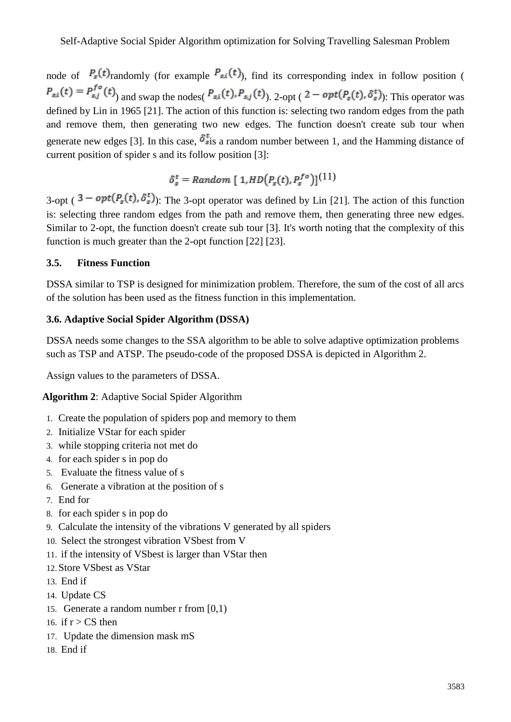node of  $P_s(t)$  randomly (for example  $P_{s,i}(t)$ ), find its corresponding index in follow position (  $P_{s,i}(t) = P_{s,j}^{fo}(t)$  and swap the nodes( $P_{s,i}(t)$ ,  $P_{s,j}(t)$ ), 2-opt (2 –  $opt(P_s(t), \delta_s^t)$ ). This operator was defined by Lin in 1965 [21]. The action of this function is: selecting two random edges from the path and remove them, then generating two new edges. The function doesn't create sub tour when generate new edges [3]. In this case,  $\delta_{s}^{t}$  a random number between 1, and the Hamming distance of current position of spider s and its follow position [3]:

 $\delta_s^t$  = Random [1,HD $(P_s(t), P_s^{fo})$ ]<sup>(11)</sup>

3-opt (  $3 - opt(P_s(t), \delta_s^t)$ ): The 3-opt operator was defined by Lin [21]. The action of this function is: selecting three random edges from the path and remove them, then generating three new edges. Similar to 2-opt, the function doesn't create sub tour [3]. It's worth noting that the complexity of this function is much greater than the 2-opt function [22] [23].

## **3.5. Fitness Function**

DSSA similar to TSP is designed for minimization problem. Therefore, the sum of the cost of all arcs of the solution has been used as the fitness function in this implementation.

## **3.6. Adaptive Social Spider Algorithm (DSSA)**

DSSA needs some changes to the SSA algorithm to be able to solve adaptive optimization problems such as TSP and ATSP. The pseudo-code of the proposed DSSA is depicted in Algorithm 2.

Assign values to the parameters of DSSA.

**Algorithm 2**: Adaptive Social Spider Algorithm

- 1. Create the population of spiders pop and memory to them
- 2. Initialize VStar for each spider
- 3. while stopping criteria not met do
- 4. for each spider s in pop do
- 5. Evaluate the fitness value of s
- 6. Generate a vibration at the position of s
- 7. End for
- 8. for each spider s in pop do
- 9. Calculate the intensity of the vibrations V generated by all spiders
- 10. Select the strongest vibration VSbest from V
- 11. if the intensity of VSbest is larger than VStar then
- 12.Store VSbest as VStar
- 13. End if
- 14. Update CS
- 15. Generate a random number r from [0,1)
- 16. if  $r > CS$  then
- 17. Update the dimension mask mS
- 18. End if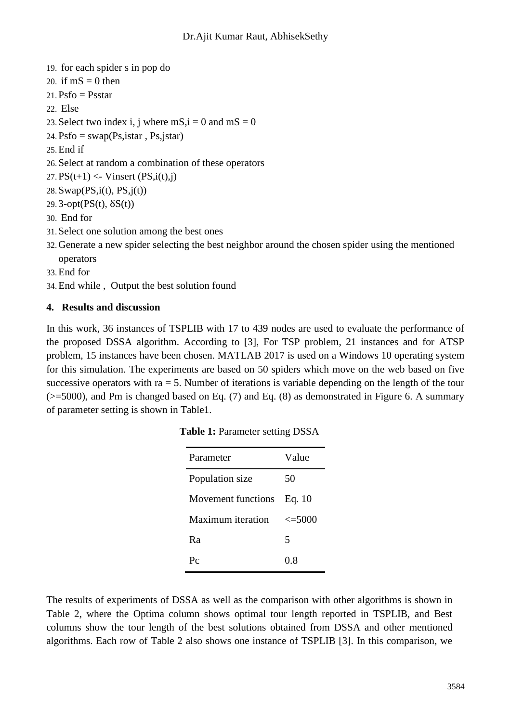- 19. for each spider s in pop do
- 20. if  $mS = 0$  then
- $21. Psfo = Psstar$
- 22. Else
- 23. Select two index i, j where  $ms$ ,  $i = 0$  and  $ms = 0$
- $24. Psfo = swap(Ps, istar, Ps, jstar)$
- 25.End if
- 26.Select at random a combination of these operators
- 27.  $PS(t+1) \leq$  Vinsert  $(PS,i(t),j)$
- 28. Swap $(PS,i(t), PS, j(t))$
- $29.3$ -opt $(PS(t), \delta S(t))$
- 30. End for
- 31.Select one solution among the best ones
- 32.Generate a new spider selecting the best neighbor around the chosen spider using the mentioned operators
- 33.End for
- 34.End while , Output the best solution found

## **4. Results and discussion**

In this work, 36 instances of TSPLIB with 17 to 439 nodes are used to evaluate the performance of the proposed DSSA algorithm. According to [3], For TSP problem, 21 instances and for ATSP problem, 15 instances have been chosen. MATLAB 2017 is used on a Windows 10 operating system for this simulation. The experiments are based on 50 spiders which move on the web based on five successive operators with  $ra = 5$ . Number of iterations is variable depending on the length of the tour  $(>=5000)$ , and Pm is changed based on Eq. (7) and Eq. (8) as demonstrated in Figure 6. A summary of parameter setting is shown in Table1.

| Parameter          | Value       |
|--------------------|-------------|
| Population size    | 50          |
| Movement functions | Eq. $10$    |
| Maximum iteration  | $\leq 5000$ |
| R <sub>a</sub>     | 5           |
| $P_{C}$            | 0.8         |

|  |  |  | Table 1: Parameter setting DSSA |  |  |
|--|--|--|---------------------------------|--|--|
|--|--|--|---------------------------------|--|--|

The results of experiments of DSSA as well as the comparison with other algorithms is shown in Table 2, where the Optima column shows optimal tour length reported in TSPLIB, and Best columns show the tour length of the best solutions obtained from DSSA and other mentioned algorithms. Each row of Table 2 also shows one instance of TSPLIB [3]. In this comparison, we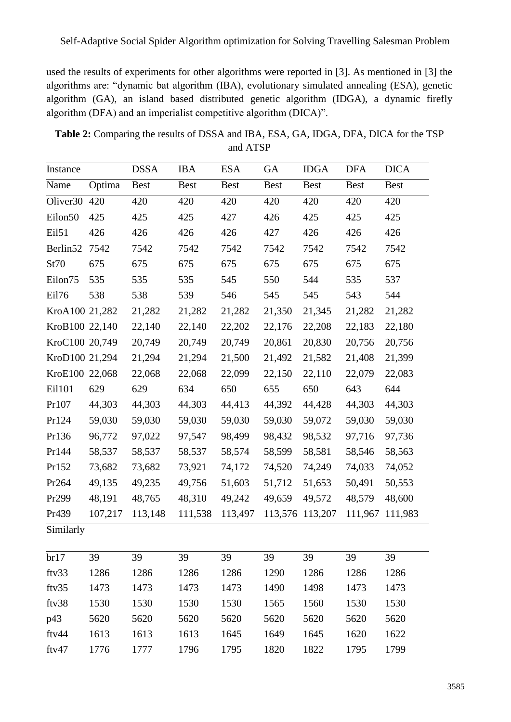used the results of experiments for other algorithms were reported in [3]. As mentioned in [3] the algorithms are: "dynamic bat algorithm (IBA), evolutionary simulated annealing (ESA), genetic algorithm (GA), an island based distributed genetic algorithm (IDGA), a dynamic firefly algorithm (DFA) and an imperialist competitive algorithm (DICA)".

**Table 2:** Comparing the results of DSSA and IBA, ESA, GA, IDGA, DFA, DICA for the TSP and ATSP

| Instance             |         | <b>DSSA</b> | <b>IBA</b>  | <b>ESA</b>  | <b>GA</b>   | <b>IDGA</b> | <b>DFA</b>  | <b>DICA</b> |
|----------------------|---------|-------------|-------------|-------------|-------------|-------------|-------------|-------------|
| Name                 | Optima  | <b>Best</b> | <b>Best</b> | <b>Best</b> | <b>Best</b> | <b>Best</b> | <b>Best</b> | <b>Best</b> |
| Oliver <sub>30</sub> | 420     | 420         | 420         | 420         | 420         | 420         | 420         | 420         |
| Eilon50              | 425     | 425         | 425         | 427         | 426         | 425         | 425         | 425         |
| Eil51                | 426     | 426         | 426         | 426         | 427         | 426         | 426         | 426         |
| Berlin52             | 7542    | 7542        | 7542        | 7542        | 7542        | 7542        | 7542        | 7542        |
| St70                 | 675     | 675         | 675         | 675         | 675         | 675         | 675         | 675         |
| Eilon75              | 535     | 535         | 535         | 545         | 550         | 544         | 535         | 537         |
| Eil76                | 538     | 538         | 539         | 546         | 545         | 545         | 543         | 544         |
| KroA100 21,282       |         | 21,282      | 21,282      | 21,282      | 21,350      | 21,345      | 21,282      | 21,282      |
| KroB100 22,140       |         | 22,140      | 22,140      | 22,202      | 22,176      | 22,208      | 22,183      | 22,180      |
| KroC100 20,749       |         | 20,749      | 20,749      | 20,749      | 20,861      | 20,830      | 20,756      | 20,756      |
| KroD100 21,294       |         | 21,294      | 21,294      | 21,500      | 21,492      | 21,582      | 21,408      | 21,399      |
| KroE100              | 22,068  | 22,068      | 22,068      | 22,099      | 22,150      | 22,110      | 22,079      | 22,083      |
| Ei1101               | 629     | 629         | 634         | 650         | 655         | 650         | 643         | 644         |
| Pr107                | 44,303  | 44,303      | 44,303      | 44,413      | 44,392      | 44,428      | 44,303      | 44,303      |
| Pr124                | 59,030  | 59,030      | 59,030      | 59,030      | 59,030      | 59,072      | 59,030      | 59,030      |
| Pr136                | 96,772  | 97,022      | 97,547      | 98,499      | 98,432      | 98,532      | 97,716      | 97,736      |
| Pr144                | 58,537  | 58,537      | 58,537      | 58,574      | 58,599      | 58,581      | 58,546      | 58,563      |
| Pr152                | 73,682  | 73,682      | 73,921      | 74,172      | 74,520      | 74,249      | 74,033      | 74,052      |
| Pr264                | 49,135  | 49,235      | 49,756      | 51,603      | 51,712      | 51,653      | 50,491      | 50,553      |
| Pr299                | 48,191  | 48,765      | 48,310      | 49,242      | 49,659      | 49,572      | 48,579      | 48,600      |
| Pr439                | 107,217 | 113,148     | 111,538     | 113,497     | 113,576     | 113,207     | 111,967     | 111,983     |
| Similarly            |         |             |             |             |             |             |             |             |
| br17                 | 39      | 39          | 39          | 39          | 39          | 39          | 39          | 39          |
| ftv33                | 1286    | 1286        | 1286        | 1286        | 1290        | 1286        | 1286        | 1286        |
| ftv35                | 1473    | 1473        | 1473        | 1473        | 1490        | 1498        | 1473        | 1473        |
| ftv38                | 1530    | 1530        | 1530        | 1530        | 1565        | 1560        | 1530        | 1530        |
| p43                  | 5620    | 5620        | 5620        | 5620        | 5620        | 5620        | 5620        | 5620        |
| ftv44                | 1613    | 1613        | 1613        | 1645        | 1649        | 1645        | 1620        | 1622        |
| ftv47                | 1776    | 1777        | 1796        | 1795        | 1820        | 1822        | 1795        | 1799        |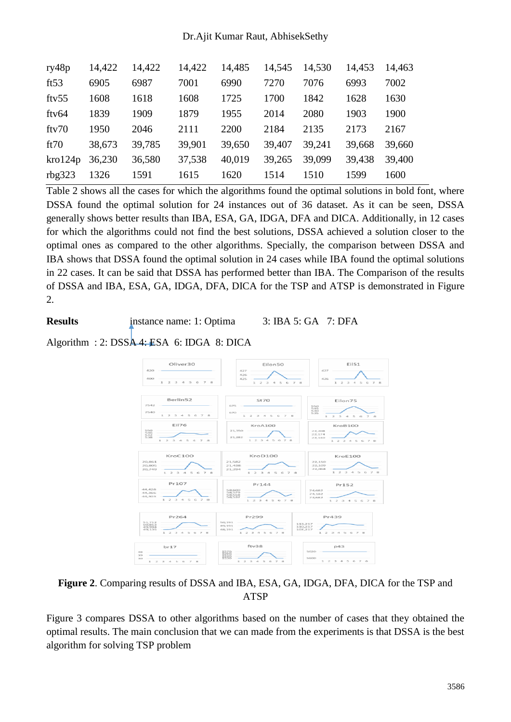### Dr.Ajit Kumar Raut, AbhisekSethy

| ry48p    | 14,422 | 14,422 | 14,422 | 14,485 | 14,545 | 14,530 | 14,453 | 14,463 |
|----------|--------|--------|--------|--------|--------|--------|--------|--------|
| ft $53$  | 6905   | 6987   | 7001   | 6990   | 7270   | 7076   | 6993   | 7002   |
| fty $55$ | 1608   | 1618   | 1608   | 1725   | 1700   | 1842   | 1628   | 1630   |
| ftv64    | 1839   | 1909   | 1879   | 1955   | 2014   | 2080   | 1903   | 1900   |
| ftv70    | 1950   | 2046   | 2111   | 2200   | 2184   | 2135   | 2173   | 2167   |
| ft70     | 38,673 | 39,785 | 39,901 | 39,650 | 39,407 | 39.241 | 39,668 | 39,660 |
| kro124p  | 36,230 | 36,580 | 37,538 | 40,019 | 39,265 | 39,099 | 39,438 | 39,400 |
| rbg323   | 1326   | 1591   | 1615   | 1620   | 1514   | 1510   | 1599   | 1600   |
|          |        |        |        |        |        |        |        |        |

Table 2 shows all the cases for which the algorithms found the optimal solutions in bold font, where DSSA found the optimal solution for 24 instances out of 36 dataset. As it can be seen, DSSA generally shows better results than IBA, ESA, GA, IDGA, DFA and DICA. Additionally, in 12 cases for which the algorithms could not find the best solutions, DSSA achieved a solution closer to the optimal ones as compared to the other algorithms. Specially, the comparison between DSSA and IBA shows that DSSA found the optimal solution in 24 cases while IBA found the optimal solutions in 22 cases. It can be said that DSSA has performed better than IBA. The Comparison of the results of DSSA and IBA, ESA, GA, IDGA, DFA, DICA for the TSP and ATSP is demonstrated in Figure 2.

**Results** instance name: 1: Optima 3: IBA 5: GA 7: DFA

Algorithm : 2: DSSA 4: ESA 6: IDGA 8: DICA



# **Figure 2**. Comparing results of DSSA and IBA, ESA, GA, IDGA, DFA, DICA for the TSP and ATSP

Figure 3 compares DSSA to other algorithms based on the number of cases that they obtained the optimal results. The main conclusion that we can made from the experiments is that DSSA is the best algorithm for solving TSP problem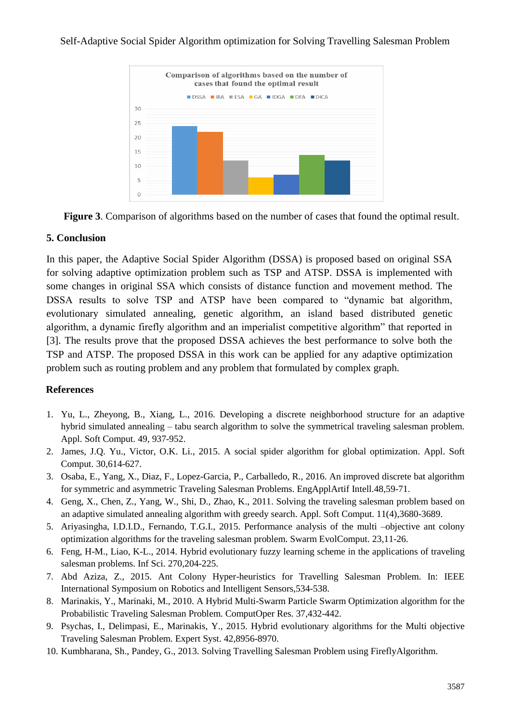### Self-Adaptive Social Spider Algorithm optimization for Solving Travelling Salesman Problem





## **5. Conclusion**

In this paper, the Adaptive Social Spider Algorithm (DSSA) is proposed based on original SSA for solving adaptive optimization problem such as TSP and ATSP. DSSA is implemented with some changes in original SSA which consists of distance function and movement method. The DSSA results to solve TSP and ATSP have been compared to "dynamic bat algorithm, evolutionary simulated annealing, genetic algorithm, an island based distributed genetic algorithm, a dynamic firefly algorithm and an imperialist competitive algorithm" that reported in [3]. The results prove that the proposed DSSA achieves the best performance to solve both the TSP and ATSP. The proposed DSSA in this work can be applied for any adaptive optimization problem such as routing problem and any problem that formulated by complex graph.

# **References**

- 1. Yu, L., Zheyong, B., Xiang, L., 2016. Developing a discrete neighborhood structure for an adaptive hybrid simulated annealing – tabu search algorithm to solve the symmetrical traveling salesman problem. Appl. Soft Comput. 49, 937-952.
- 2. James, J.Q. Yu., Victor, O.K. Li., 2015. A social spider algorithm for global optimization. Appl. Soft Comput. 30,614-627.
- 3. Osaba, E., Yang, X., Diaz, F., Lopez-Garcia, P., Carballedo, R., 2016. An improved discrete bat algorithm for symmetric and asymmetric Traveling Salesman Problems. EngApplArtif Intell.48,59-71.
- 4. Geng, X., Chen, Z., Yang, W., Shi, D., Zhao, K., 2011. Solving the traveling salesman problem based on an adaptive simulated annealing algorithm with greedy search. Appl. Soft Comput. 11(4),3680-3689.
- 5. Ariyasingha, I.D.I.D., Fernando, T.G.I., 2015. Performance analysis of the multi –objective ant colony optimization algorithms for the traveling salesman problem. Swarm EvolComput. 23,11-26.
- 6. Feng, H-M., Liao, K-L., 2014. Hybrid evolutionary fuzzy learning scheme in the applications of traveling salesman problems. Inf Sci. 270,204-225.
- 7. Abd Aziza, Z., 2015. Ant Colony Hyper-heuristics for Travelling Salesman Problem. In: IEEE International Symposium on Robotics and Intelligent Sensors,534-538.
- 8. Marinakis, Y., Marinaki, M., 2010. A Hybrid Multi-Swarm Particle Swarm Optimization algorithm for the Probabilistic Traveling Salesman Problem. ComputOper Res. 37,432-442.
- 9. Psychas, I., Delimpasi, E., Marinakis, Y., 2015. Hybrid evolutionary algorithms for the Multi objective Traveling Salesman Problem. Expert Syst. 42,8956-8970.
- 10. Kumbharana, Sh., Pandey, G., 2013. Solving Travelling Salesman Problem using FireflyAlgorithm.